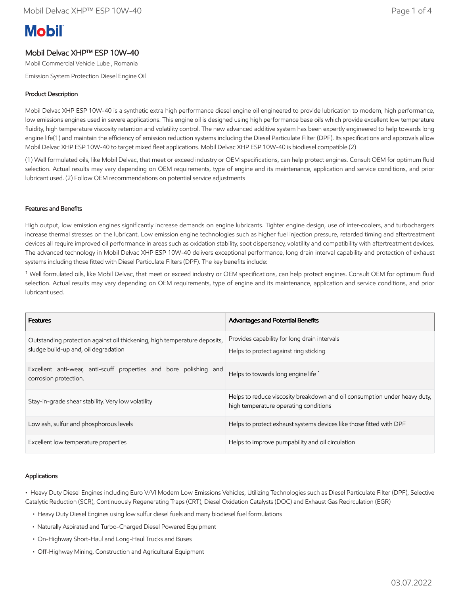# **Mobil**

## Mobil Delvac XHP™ ESP 10W-40

Mobil Commercial Vehicle Lube , Romania

Emission System Protection Diesel Engine Oil

### Product Description

Mobil Delvac XHP ESP 10W-40 is a synthetic extra high performance diesel engine oil engineered to provide lubrication to modern, high performance, low emissions engines used in severe applications. This engine oil is designed using high performance base oils which provide excellent low temperature fluidity, high temperature viscosity retention and volatility control. The new advanced additive system has been expertly engineered to help towards long engine life(1) and maintain the efficiency of emission reduction systems including the Diesel Particulate Filter (DPF). Its specifications and approvals allow Mobil Delvac XHP ESP 10W-40 to target mixed fleet applications. Mobil Delvac XHP ESP 10W-40 is biodiesel compatible.(2)

(1) Well formulated oils, like Mobil Delvac, that meet or exceed industry or OEM specifications, can help protect engines. Consult OEM for optimum fluid selection. Actual results may vary depending on OEM requirements, type of engine and its maintenance, application and service conditions, and prior lubricant used. (2) Follow OEM recommendations on potential service adjustments

#### Features and Benefits

High output, low emission engines significantly increase demands on engine lubricants. Tighter engine design, use of inter-coolers, and turbochargers increase thermal stresses on the lubricant. Low emission engine technologies such as higher fuel injection pressure, retarded timing and aftertreatment devices all require improved oil performance in areas such as oxidation stability, soot dispersancy, volatility and compatibility with aftertreatment devices. The advanced technology in Mobil Delvac XHP ESP 10W-40 delivers exceptional performance, long drain interval capability and protection of exhaust systems including those fitted with Diesel Particulate Filters (DPF). The key benefits include:

<sup>1</sup> Well formulated oils, like Mobil Delvac, that meet or exceed industry or OEM specifications, can help protect engines. Consult OEM for optimum fluid selection. Actual results may vary depending on OEM requirements, type of engine and its maintenance, application and service conditions, and prior lubricant used.

| <b>Features</b>                                                                                                   | <b>Advantages and Potential Benefits</b>                                                                           |
|-------------------------------------------------------------------------------------------------------------------|--------------------------------------------------------------------------------------------------------------------|
| Outstanding protection against oil thickening, high temperature deposits,<br>sludge build-up and, oil degradation | Provides capability for long drain intervals<br>Helps to protect against ring sticking                             |
| Excellent anti-wear, anti-scuff properties and bore polishing and<br>corrosion protection.                        | Helps to towards long engine life <sup>1</sup>                                                                     |
| Stay-in-grade shear stability. Very low volatility                                                                | Helps to reduce viscosity breakdown and oil consumption under heavy duty,<br>high temperature operating conditions |
| Low ash, sulfur and phosphorous levels                                                                            | Helps to protect exhaust systems devices like those fitted with DPF                                                |
| Excellent low temperature properties                                                                              | Helps to improve pumpability and oil circulation                                                                   |

#### Applications

• Heavy Duty Diesel Engines including Euro V/VI Modern Low Emissions Vehicles, Utilizing Technologies such as Diesel Particulate Filter (DPF), Selective Catalytic Reduction (SCR), Continuously Regenerating Traps (CRT), Diesel Oxidation Catalysts (DOC) and Exhaust Gas Recirculation (EGR)

- Heavy Duty Diesel Engines using low sulfur diesel fuels and many biodiesel fuel formulations
- Naturally Aspirated and Turbo-Charged Diesel Powered Equipment
- On-Highway Short-Haul and Long-Haul Trucks and Buses
- Off-Highway Mining, Construction and Agricultural Equipment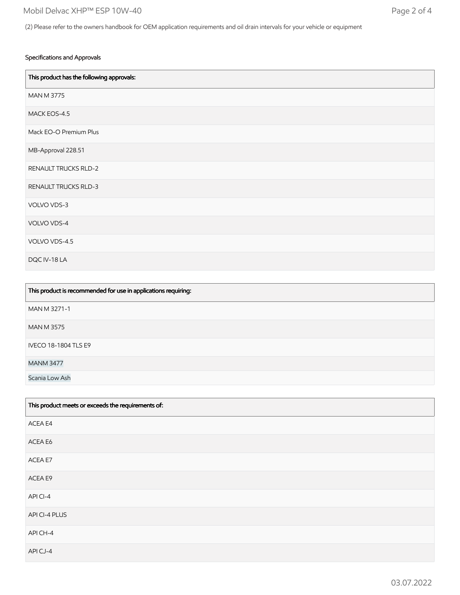#### Specifications and Approvals

| This product has the following approvals: |
|-------------------------------------------|
| <b>MAN M 3775</b>                         |
| MACK EOS-4.5                              |
| Mack EO-O Premium Plus                    |
| MB-Approval 228.51                        |
| <b>RENAULT TRUCKS RLD-2</b>               |
| RENAULT TRUCKS RLD-3                      |
| VOLVO VDS-3                               |
| VOLVO VDS-4                               |
| VOLVO VDS-4.5                             |
| DQC IV-18 LA                              |

| This product is recommended for use in applications requiring: |
|----------------------------------------------------------------|
| MAN M 3271-1                                                   |
| <b>MAN M 3575</b>                                              |
| <b>IVECO 18-1804 TLS E9</b>                                    |
| <b>MANM 3477</b>                                               |
| Scania Low Ash                                                 |

| This product meets or exceeds the requirements of: |
|----------------------------------------------------|
| ACEA E4                                            |
| ACEA E6                                            |
| ACEA E7                                            |
| ACEA E9                                            |
| APICI-4                                            |
| API CI-4 PLUS                                      |
| API CH-4                                           |
| APICJ-4                                            |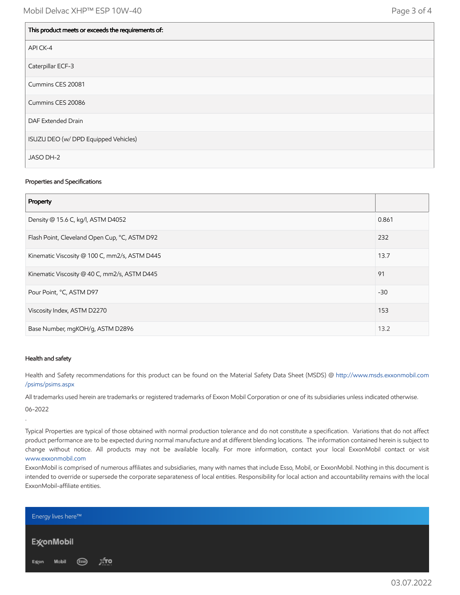| This product meets or exceeds the requirements of: |
|----------------------------------------------------|
| API CK-4                                           |
| Caterpillar ECF-3                                  |
| Cummins CES 20081                                  |
| Cummins CES 20086                                  |
| DAF Extended Drain                                 |
| ISUZU DEO (w/ DPD Equipped Vehicles)               |
| JASO DH-2                                          |

#### Properties and Specifications

| Property                                      |       |
|-----------------------------------------------|-------|
| Density @ 15.6 C, kg/l, ASTM D4052            | 0.861 |
| Flash Point, Cleveland Open Cup, °C, ASTM D92 | 232   |
| Kinematic Viscosity @ 100 C, mm2/s, ASTM D445 | 13.7  |
| Kinematic Viscosity @ 40 C, mm2/s, ASTM D445  | 91    |
| Pour Point, °C, ASTM D97                      | $-30$ |
| Viscosity Index, ASTM D2270                   | 153   |
| Base Number, mgKOH/g, ASTM D2896              | 13.2  |

#### Health and safety

Health and Safety recommendations for this product can be found on the Material Safety Data Sheet (MSDS) @ [http://www.msds.exxonmobil.com](http://www.msds.exxonmobil.com/psims/psims.aspx) /psims/psims.aspx

All trademarks used herein are trademarks or registered trademarks of Exxon Mobil Corporation or one of its subsidiaries unless indicated otherwise.

06-2022

.

Typical Properties are typical of those obtained with normal production tolerance and do not constitute a specification. Variations that do not affect product performance are to be expected during normal manufacture and at different blending locations. The information contained herein is subject to change without notice. All products may not be available locally. For more information, contact your local ExxonMobil contact or visit [www.exxonmobil.com](http://www.exxonmobil.com/)

ExxonMobil is comprised of numerous affiliates and subsidiaries, many with names that include Esso, Mobil, or ExxonMobil. Nothing in this document is intended to override or supersede the corporate separateness of local entities. Responsibility for local action and accountability remains with the local ExxonMobil-affiliate entities.

| <b>Energy lives here™</b> |       |  |
|---------------------------|-------|--|
| Ex⁄onMobil                |       |  |
| Excon Mobil (Esso)        | — Дто |  |